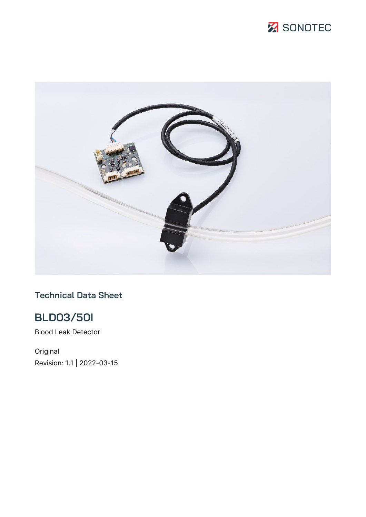



### **Technical Data Sheet**

# **BLD03/50I**

Blood Leak Detector

Original Revision: 1.1 | 2022-03-15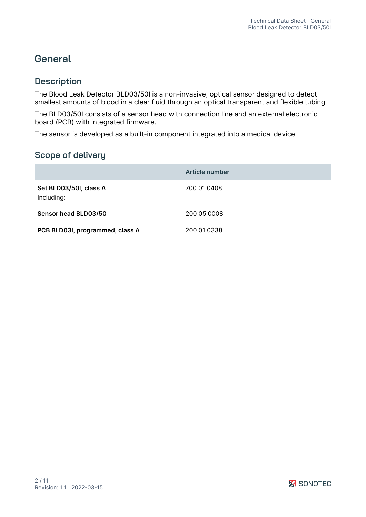## **General**

### **Description**

The Blood Leak Detector BLD03/50I is a non-invasive, optical sensor designed to detect smallest amounts of blood in a clear fluid through an optical transparent and flexible tubing.

The BLD03/50I consists of a sensor head with connection line and an external electronic board (PCB) with integrated firmware.

The sensor is developed as a built-in component integrated into a medical device.

### **Scope of delivery**

|                                      | Article number |
|--------------------------------------|----------------|
| Set BLD03/50I, class A<br>Including: | 700 01 0408    |
| Sensor head BLD03/50                 | 200 05 0008    |
| PCB BLD03I, programmed, class A      | 200 01 0338    |

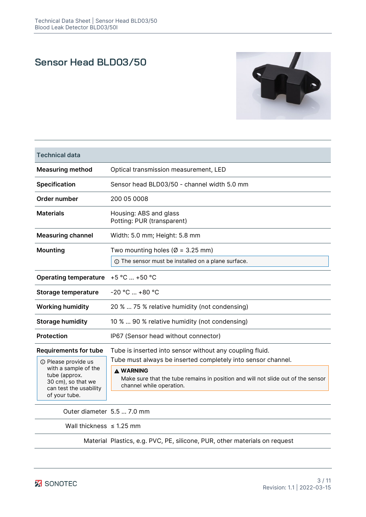## **Sensor Head BLD03/50**



| <b>Technical data</b>                                                                                                                |                                                                                                                                                                                                  |
|--------------------------------------------------------------------------------------------------------------------------------------|--------------------------------------------------------------------------------------------------------------------------------------------------------------------------------------------------|
| <b>Measuring method</b>                                                                                                              | Optical transmission measurement, LED                                                                                                                                                            |
| <b>Specification</b>                                                                                                                 | Sensor head BLD03/50 - channel width 5.0 mm                                                                                                                                                      |
| Order number                                                                                                                         | 200 05 0008                                                                                                                                                                                      |
| <b>Materials</b>                                                                                                                     | Housing: ABS and glass<br>Potting: PUR (transparent)                                                                                                                                             |
| <b>Measuring channel</b>                                                                                                             | Width: 5.0 mm; Height: 5.8 mm                                                                                                                                                                    |
| Mounting                                                                                                                             | Two mounting holes ( $\varnothing$ = 3.25 mm)<br>① The sensor must be installed on a plane surface.                                                                                              |
| <b>Operating temperature</b>                                                                                                         | $+5 °C  +50 °C$                                                                                                                                                                                  |
| <b>Storage temperature</b>                                                                                                           | $-20 °C  +80 °C$                                                                                                                                                                                 |
| <b>Working humidity</b>                                                                                                              | 20 %  75 % relative humidity (not condensing)                                                                                                                                                    |
| <b>Storage humidity</b>                                                                                                              | 10 %  90 % relative humidity (not condensing)                                                                                                                                                    |
| <b>Protection</b>                                                                                                                    | IP67 (Sensor head without connector)                                                                                                                                                             |
| <b>Requirements for tube</b>                                                                                                         | Tube is inserted into sensor without any coupling fluid.                                                                                                                                         |
| <b>1</b> Please provide us<br>with a sample of the<br>tube (approx.<br>30 cm), so that we<br>can test the usability<br>of your tube. | Tube must always be inserted completely into sensor channel.<br><b>A WARNING</b><br>Make sure that the tube remains in position and will not slide out of the sensor<br>channel while operation. |

Outer diameter 5.5 … 7.0 mm

Wall thickness  $\leq 1.25$  mm

Material Plastics, e.g. PVC, PE, silicone, PUR, other materials on request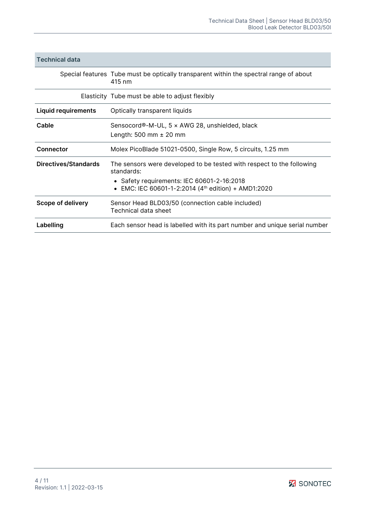| <b>Technical data</b>      |                                                                                                                                                                                          |
|----------------------------|------------------------------------------------------------------------------------------------------------------------------------------------------------------------------------------|
|                            | Special features Tube must be optically transparent within the spectral range of about<br>415 nm                                                                                         |
|                            | Elasticity Tube must be able to adjust flexibly                                                                                                                                          |
| <b>Liquid requirements</b> | Optically transparent liquids                                                                                                                                                            |
| Cable                      | Sensocord®-M-UL, 5 x AWG 28, unshielded, black<br>Length: 500 mm $\pm$ 20 mm                                                                                                             |
| <b>Connector</b>           | Molex PicoBlade 51021-0500, Single Row, 5 circuits, 1.25 mm                                                                                                                              |
| Directives/Standards       | The sensors were developed to be tested with respect to the following<br>standards:<br>• Safety requirements: IEC 60601-2-16:2018<br>• EMC: IEC 60601-1-2:2014 (4th edition) + AMD1:2020 |
| Scope of delivery          | Sensor Head BLD03/50 (connection cable included)<br>Technical data sheet                                                                                                                 |
| Labelling                  | Each sensor head is labelled with its part number and unique serial number                                                                                                               |

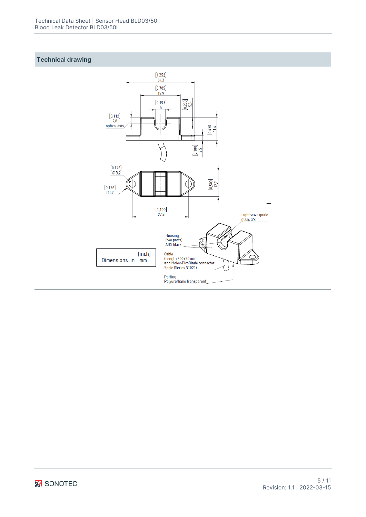#### **Technical drawing**

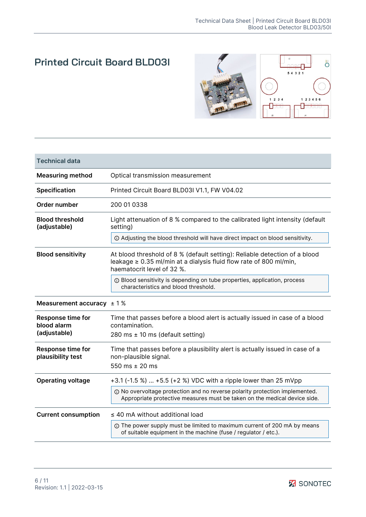## **Printed Circuit Board BLD03I**



| <b>Technical data</b>                         |                                                                                                                                                                                     |
|-----------------------------------------------|-------------------------------------------------------------------------------------------------------------------------------------------------------------------------------------|
| <b>Measuring method</b>                       | Optical transmission measurement                                                                                                                                                    |
| Specification                                 | Printed Circuit Board BLD03I V1.1, FW V04.02                                                                                                                                        |
| Order number                                  | 200 01 0338                                                                                                                                                                         |
| <b>Blood threshold</b><br>(adjustable)        | Light attenuation of 8 % compared to the calibrated light intensity (default<br>setting)                                                                                            |
|                                               | 10 Adjusting the blood threshold will have direct impact on blood sensitivity.                                                                                                      |
| <b>Blood sensitivity</b>                      | At blood threshold of 8 % (default setting): Reliable detection of a blood<br>leakage $\geq 0.35$ ml/min at a dialysis fluid flow rate of 800 ml/min,<br>haematocrit level of 32 %. |
|                                               | <b>1</b> Blood sensitivity is depending on tube properties, application, process<br>characteristics and blood threshold.                                                            |
| Measurement accuracy $\pm$ 1%                 |                                                                                                                                                                                     |
| <b>Response time for</b><br>blood alarm       | Time that passes before a blood alert is actually issued in case of a blood<br>contamination.                                                                                       |
| (adjustable)                                  | 280 ms $\pm$ 10 ms (default setting)                                                                                                                                                |
| <b>Response time for</b><br>plausibility test | Time that passes before a plausibility alert is actually issued in case of a<br>non-plausible signal.<br>550 ms $\pm$ 20 ms                                                         |
|                                               |                                                                                                                                                                                     |
| <b>Operating voltage</b>                      | +3.1 (-1.5 %)  +5.5 (+2 %) VDC with a ripple lower than 25 mVpp<br>© No overvoltage protection and no reverse polarity protection implemented.                                      |
|                                               | Appropriate protective measures must be taken on the medical device side.                                                                                                           |
| <b>Current consumption</b>                    | $\leq$ 40 mA without additional load                                                                                                                                                |
|                                               | ① The power supply must be limited to maximum current of 200 mA by means<br>of suitable equipment in the machine (fuse / regulator / etc.).                                         |

**Z** SONOTEC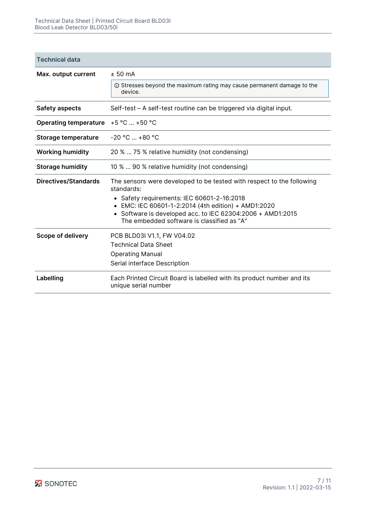| Technical data |  |
|----------------|--|
|                |  |

| Max. output current          | ± 50 mA                                                                                                  |  |
|------------------------------|----------------------------------------------------------------------------------------------------------|--|
|                              | <b>① Stresses beyond the maximum rating may cause permanent damage to the</b><br>device.                 |  |
| <b>Safety aspects</b>        | Self-test - A self-test routine can be triggered via digital input.                                      |  |
| <b>Operating temperature</b> | $+5 °C  +50 °C$                                                                                          |  |
| Storage temperature          | $-20 °C  +80 °C$                                                                                         |  |
| <b>Working humidity</b>      | 20 %  75 % relative humidity (not condensing)                                                            |  |
| <b>Storage humidity</b>      | 10 %  90 % relative humidity (not condensing)                                                            |  |
| <b>Directives/Standards</b>  | The sensors were developed to be tested with respect to the following<br>standards:                      |  |
|                              | • Safety requirements: IEC 60601-2-16:2018                                                               |  |
|                              | • EMC: IEC 60601-1-2:2014 (4th edition) + AMD1:2020                                                      |  |
|                              | • Software is developed acc. to IEC 62304:2006 + AMD1:2015<br>The embedded software is classified as "A" |  |
| <b>Scope of delivery</b>     | PCB BLD03I V1.1, FW V04.02                                                                               |  |
|                              | <b>Technical Data Sheet</b>                                                                              |  |
|                              | <b>Operating Manual</b>                                                                                  |  |
|                              | Serial interface Description                                                                             |  |
| Labelling                    | Each Printed Circuit Board is labelled with its product number and its<br>unique serial number           |  |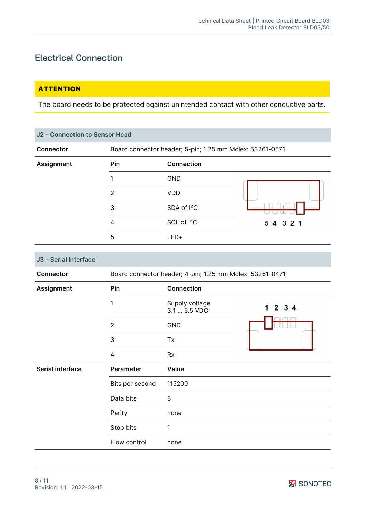### **Electrical Connection**

### **ATTENTION**

The board needs to be protected against unintended contact with other conductive parts.

| J2 - Connection to Sensor Head |     |                                                          |           |  |
|--------------------------------|-----|----------------------------------------------------------|-----------|--|
| <b>Connector</b>               |     | Board connector header; 5-pin; 1.25 mm Molex: 53261-0571 |           |  |
| <b>Assignment</b>              | Pin | <b>Connection</b>                                        |           |  |
|                                |     | <b>GND</b>                                               |           |  |
|                                | 2   | <b>VDD</b>                                               |           |  |
|                                | 3   | SDA of <sup>12</sup> C                                   |           |  |
|                                | 4   | SCL of <sup>12</sup> C                                   | 5 4 3 2 1 |  |
|                                | 5   | $LED+$                                                   |           |  |
|                                |     |                                                          |           |  |

| J3 - Serial Interface   |                                                          |                                |                      |  |
|-------------------------|----------------------------------------------------------|--------------------------------|----------------------|--|
| <b>Connector</b>        | Board connector header; 4-pin; 1.25 mm Molex: 53261-0471 |                                |                      |  |
| <b>Assignment</b>       | Pin                                                      | <b>Connection</b>              |                      |  |
|                         | 1                                                        | Supply voltage<br>3.1  5.5 VDC | $3\overline{4}$<br>2 |  |
|                         | $\overline{2}$                                           | GND                            |                      |  |
|                         | 3                                                        | Tx                             |                      |  |
|                         | 4                                                        | <b>Rx</b>                      |                      |  |
| <b>Serial interface</b> | Parameter                                                | Value                          |                      |  |
|                         | Bits per second                                          | 115200                         |                      |  |
|                         | Data bits                                                | 8                              |                      |  |
|                         | Parity                                                   | none                           |                      |  |
|                         | Stop bits                                                | 1                              |                      |  |
|                         | Flow control                                             | none                           |                      |  |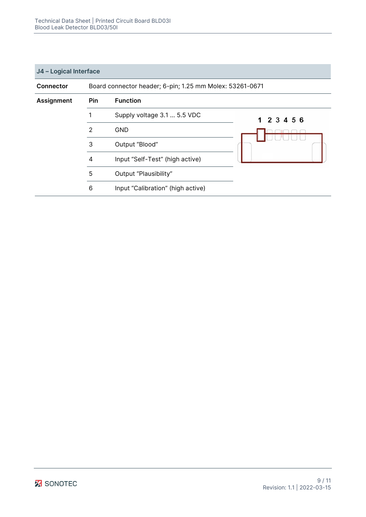#### **J4 – Logical Interface**

| <b>Connector</b>  | Board connector header; 6-pin; 1.25 mm Molex: 53261-0671 |                                   |             |  |
|-------------------|----------------------------------------------------------|-----------------------------------|-------------|--|
| <b>Assignment</b> | Pin                                                      | <b>Function</b>                   |             |  |
|                   |                                                          | Supply voltage 3.1  5.5 VDC       | 1 2 3 4 5 6 |  |
|                   | 2                                                        | <b>GND</b>                        |             |  |
|                   | 3                                                        | Output "Blood"                    |             |  |
|                   | 4                                                        | Input "Self-Test" (high active)   |             |  |
|                   | 5                                                        | Output "Plausibility"             |             |  |
|                   | 6                                                        | Input "Calibration" (high active) |             |  |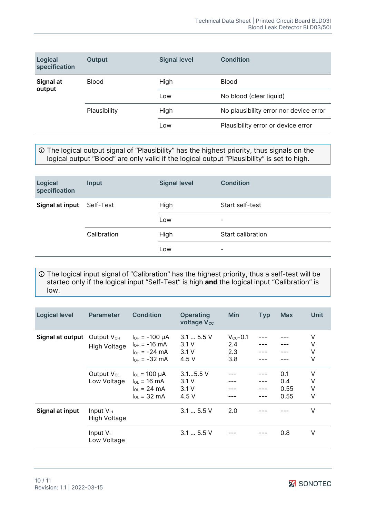| Logical<br>specification | <b>Output</b> | <b>Signal level</b> | Condition                              |  |
|--------------------------|---------------|---------------------|----------------------------------------|--|
| Signal at<br>output      | <b>Blood</b>  | High                | <b>Blood</b>                           |  |
|                          |               | Low                 | No blood (clear liquid)                |  |
|                          | Plausibility  | High                | No plausibility error nor device error |  |
|                          |               | Low                 | Plausibility error or device error     |  |

 The logical output signal of "Plausibility" has the highest priority, thus signals on the logical output "Blood" are only valid if the logical output "Plausibility" is set to high.

| Logical<br>specification | Input       | <b>Signal level</b> | <b>Condition</b>         |
|--------------------------|-------------|---------------------|--------------------------|
| Signal at input          | Self-Test   | High                | Start self-test          |
|                          |             | Low                 | -                        |
|                          | Calibration | High                | Start calibration        |
|                          |             | Low                 | $\overline{\phantom{0}}$ |

 The logical input signal of "Calibration" has the highest priority, thus a self-test will be started only if the logical input "Self-Test" is high **and** the logical input "Calibration" is low.

| <b>Logical level</b> | <b>Parameter</b>                            | <b>Condition</b>                                                                                     | <b>Operating</b><br><b>voltage Vcc</b> | <b>Min</b>                                | <b>Typ</b> | <b>Max</b>                 | Unit             |
|----------------------|---------------------------------------------|------------------------------------------------------------------------------------------------------|----------------------------------------|-------------------------------------------|------------|----------------------------|------------------|
| Signal at output     | Output V <sub>OH</sub><br>High Voltage      | $I_{OH} = -100 \mu A$<br>$I_{OH} = -16$ mA<br>$I_{OH} = -24 \text{ mA}$<br>$I_{OH} = -32 \text{ mA}$ | 3.15.5V<br>3.1V<br>3.1V<br>4.5 $V$     | $V_{\text{cc}}$ -0.1<br>2.4<br>2.3<br>3.8 |            |                            | V<br>٧<br>٧<br>٧ |
|                      | Output V <sub>ol</sub><br>Low Voltage       | $I_{OL}$ = 100 µA<br>$I_{OL}$ = 16 mA<br>$I_{OL}$ = 24 mA<br>$\ln = 32 \text{ mA}$                   | $3.15.5$ V<br>3.1V<br>3.1V<br>4.5 V    |                                           | ---        | 0.1<br>0.4<br>0.55<br>0.55 | ٧<br>٧<br>V<br>٧ |
| Signal at input      | Input $V_{\text{H}}$<br><b>High Voltage</b> |                                                                                                      | 3.15.5V                                | 2.0                                       |            |                            | V                |
|                      | Input $V_{IL}$<br>Low Voltage               |                                                                                                      | 3.15.5V                                |                                           |            | 0.8                        | V                |